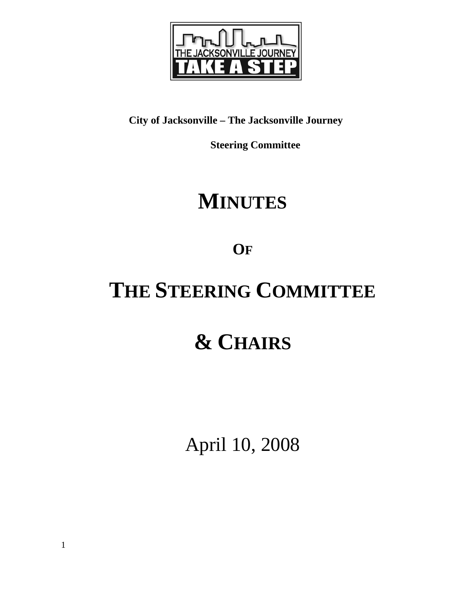

## **City of Jacksonville – The Jacksonville Journey**

 **Steering Committee** 

## **MINUTES**

**OF**

# **THE STEERING COMMITTEE**

# **& CHAIRS**

April 10, 2008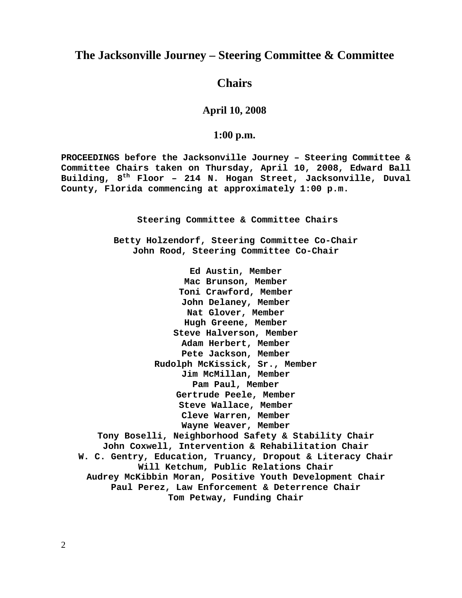### **The Jacksonville Journey – Steering Committee & Committee**

### **Chairs**

#### **April 10, 2008**

#### **1:00 p.m.**

**PROCEEDINGS before the Jacksonville Journey – Steering Committee & Committee Chairs taken on Thursday, April 10, 2008, Edward Ball Building, 8th Floor – 214 N. Hogan Street, Jacksonville, Duval County, Florida commencing at approximately 1:00 p.m.** 

**Steering Committee & Committee Chairs** 

**Betty Holzendorf, Steering Committee Co-Chair John Rood, Steering Committee Co-Chair** 

**Ed Austin, Member Mac Brunson, Member Toni Crawford, Member John Delaney, Member Nat Glover, Member Hugh Greene, Member Steve Halverson, Member Adam Herbert, Member Pete Jackson, Member Rudolph McKissick, Sr., Member Jim McMillan, Member Pam Paul, Member Gertrude Peele, Member Steve Wallace, Member Cleve Warren, Member Wayne Weaver, Member Tony Boselli, Neighborhood Safety & Stability Chair John Coxwell, Intervention & Rehabilitation Chair W. C. Gentry, Education, Truancy, Dropout & Literacy Chair Will Ketchum, Public Relations Chair Audrey McKibbin Moran, Positive Youth Development Chair Paul Perez, Law Enforcement & Deterrence Chair Tom Petway, Funding Chair**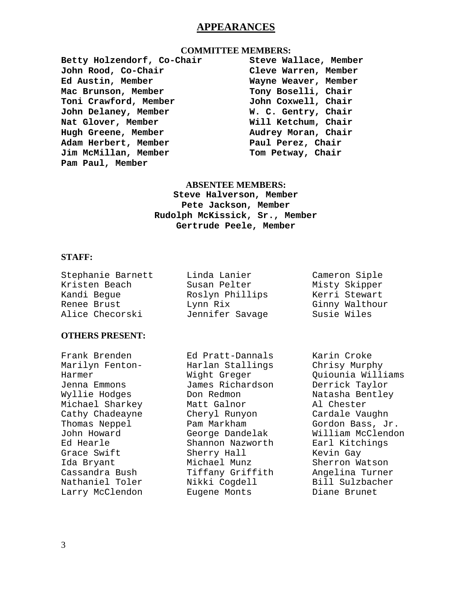### **APPEARANCES**

#### **COMMITTEE MEMBERS:**

**Betty Holzendorf, Co-Chair John Rood, Co-Chair Ed Austin, Member Mac Brunson, Member Toni Crawford, Member John Delaney, Member Nat Glover, Member Hugh Greene, Member Adam Herbert, Member Jim McMillan, Member Pam Paul, Member** 

**Steve Wallace, Member Cleve Warren, Member Wayne Weaver, Member Tony Boselli, Chair John Coxwell, Chair W. C. Gentry, Chair Will Ketchum, Chair Audrey Moran, Chair Paul Perez, Chair Tom Petway, Chair** 

#### **ABSENTEE MEMBERS:**

**Steve Halverson, Member Pete Jackson, Member Rudolph McKissick, Sr., Member Gertrude Peele, Member** 

#### **STAFF:**

| Stephanie Barnett | Linda Lanier    | Cameron Siple  |
|-------------------|-----------------|----------------|
| Kristen Beach     | Susan Pelter    | Misty Skipper  |
| Kandi Beque       | Roslyn Phillips | Kerri Stewart  |
| Renee Brust       | Lynn Rix        | Ginny Walthour |
| Alice Checorski   | Jennifer Savage | Susie Wiles    |

#### **OTHERS PRESENT:**

Frank Brenden Marilyn Fenton-Harmer Jenna Emmons Wyllie Hodges Michael Sharkey Cathy Chadeayne Thomas Neppel John Howard Ed Hearle Grace Swift Ida Bryant Cassandra Bush Nathaniel Toler Larry McClendon

Ed Pratt-Dannals Harlan Stallings Wight Greger James Richardson Don Redmon Matt Galnor Cheryl Runyon Pam Markham George Dandelak Shannon Nazworth Sherry Hall Michael Munz Tiffany Griffith Nikki Cogdell Eugene Monts

Ginny Walthour

Karin Croke Chrisy Murphy Quiounia Williams Derrick Taylor Natasha Bentley Al Chester Cardale Vaughn Gordon Bass, Jr. William McClendon Earl Kitchings Kevin Gay Sherron Watson Angelina Turner Bill Sulzbacher Diane Brunet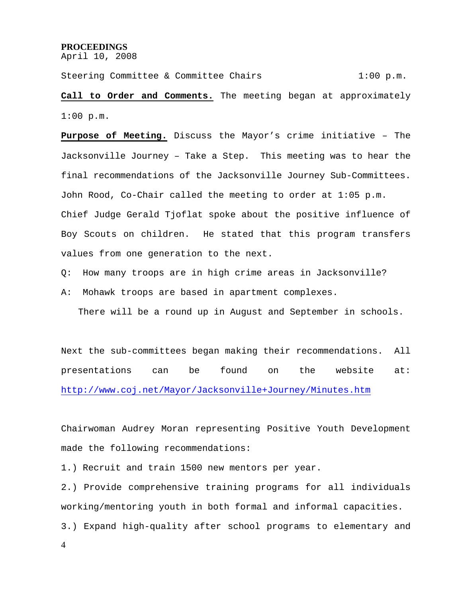#### **PROCEEDINGS**

April 10, 2008

Steering Committee & Committee Chairs 1:00 p.m.

**Call to Order and Comments.** The meeting began at approximately 1:00 p.m.

**Purpose of Meeting.** Discuss the Mayor's crime initiative – The Jacksonville Journey – Take a Step. This meeting was to hear the final recommendations of the Jacksonville Journey Sub-Committees. John Rood, Co-Chair called the meeting to order at 1:05 p.m. Chief Judge Gerald Tjoflat spoke about the positive influence of Boy Scouts on children. He stated that this program transfers values from one generation to the next.

Q: How many troops are in high crime areas in Jacksonville?

A: Mohawk troops are based in apartment complexes.

There will be a round up in August and September in schools.

Next the sub-committees began making their recommendations. All presentations can be found on the website at: http://www.coj.net/Mayor/Jacksonville+Journey/Minutes.htm

Chairwoman Audrey Moran representing Positive Youth Development made the following recommendations:

1.) Recruit and train 1500 new mentors per year.

2.) Provide comprehensive training programs for all individuals working/mentoring youth in both formal and informal capacities. 3.) Expand high-quality after school programs to elementary and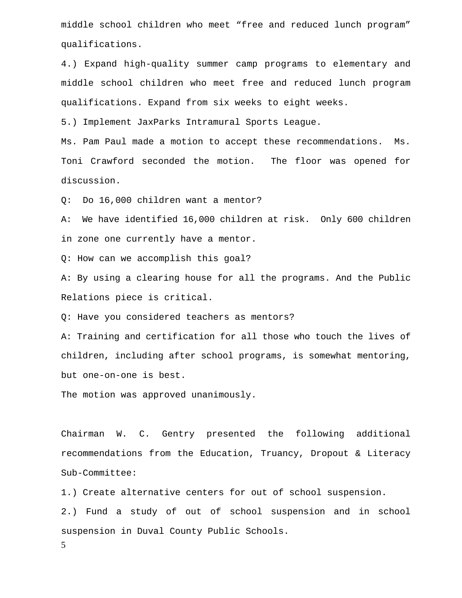middle school children who meet "free and reduced lunch program" qualifications.

4.) Expand high-quality summer camp programs to elementary and middle school children who meet free and reduced lunch program qualifications. Expand from six weeks to eight weeks.

5.) Implement JaxParks Intramural Sports League.

Ms. Pam Paul made a motion to accept these recommendations. Ms. Toni Crawford seconded the motion. The floor was opened for discussion.

Q: Do 16,000 children want a mentor?

A: We have identified 16,000 children at risk. Only 600 children in zone one currently have a mentor.

Q: How can we accomplish this goal?

A: By using a clearing house for all the programs. And the Public Relations piece is critical.

Q: Have you considered teachers as mentors?

A: Training and certification for all those who touch the lives of children, including after school programs, is somewhat mentoring, but one-on-one is best.

The motion was approved unanimously.

Chairman W. C. Gentry presented the following additional recommendations from the Education, Truancy, Dropout & Literacy Sub-Committee:

1.) Create alternative centers for out of school suspension.

2.) Fund a study of out of school suspension and in school suspension in Duval County Public Schools.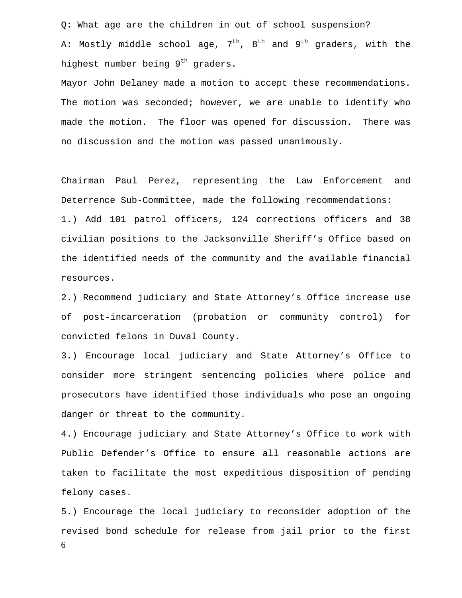Q: What age are the children in out of school suspension? A: Mostly middle school age,  $7<sup>th</sup>$ ,  $8<sup>th</sup>$  and  $9<sup>th</sup>$  graders, with the highest number being 9<sup>th</sup> graders.

Mayor John Delaney made a motion to accept these recommendations. The motion was seconded; however, we are unable to identify who made the motion. The floor was opened for discussion. There was no discussion and the motion was passed unanimously.

Chairman Paul Perez, representing the Law Enforcement and Deterrence Sub-Committee, made the following recommendations:

1.) Add 101 patrol officers, 124 corrections officers and 38 civilian positions to the Jacksonville Sheriff's Office based on the identified needs of the community and the available financial resources.

2.) Recommend judiciary and State Attorney's Office increase use of post-incarceration (probation or community control) for convicted felons in Duval County.

3.) Encourage local judiciary and State Attorney's Office to consider more stringent sentencing policies where police and prosecutors have identified those individuals who pose an ongoing danger or threat to the community.

4.) Encourage judiciary and State Attorney's Office to work with Public Defender's Office to ensure all reasonable actions are taken to facilitate the most expeditious disposition of pending felony cases.

6 5.) Encourage the local judiciary to reconsider adoption of the revised bond schedule for release from jail prior to the first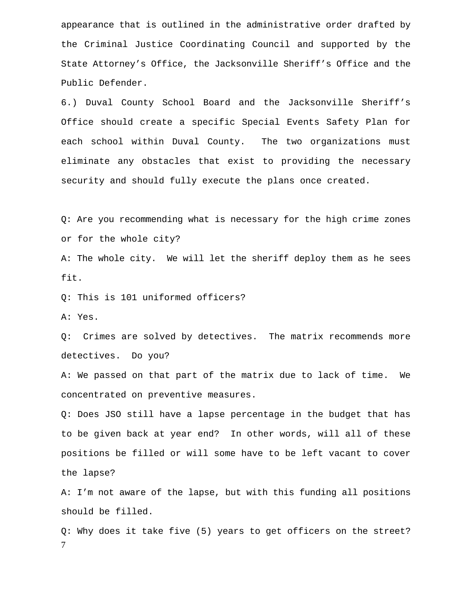appearance that is outlined in the administrative order drafted by the Criminal Justice Coordinating Council and supported by the State Attorney's Office, the Jacksonville Sheriff's Office and the Public Defender.

6.) Duval County School Board and the Jacksonville Sheriff's Office should create a specific Special Events Safety Plan for each school within Duval County. The two organizations must eliminate any obstacles that exist to providing the necessary security and should fully execute the plans once created.

Q: Are you recommending what is necessary for the high crime zones or for the whole city?

A: The whole city. We will let the sheriff deploy them as he sees fit.

Q: This is 101 uniformed officers?

A: Yes.

Q: Crimes are solved by detectives. The matrix recommends more detectives. Do you?

A: We passed on that part of the matrix due to lack of time. We concentrated on preventive measures.

Q: Does JSO still have a lapse percentage in the budget that has to be given back at year end? In other words, will all of these positions be filled or will some have to be left vacant to cover the lapse?

A: I'm not aware of the lapse, but with this funding all positions should be filled.

7 Q: Why does it take five (5) years to get officers on the street?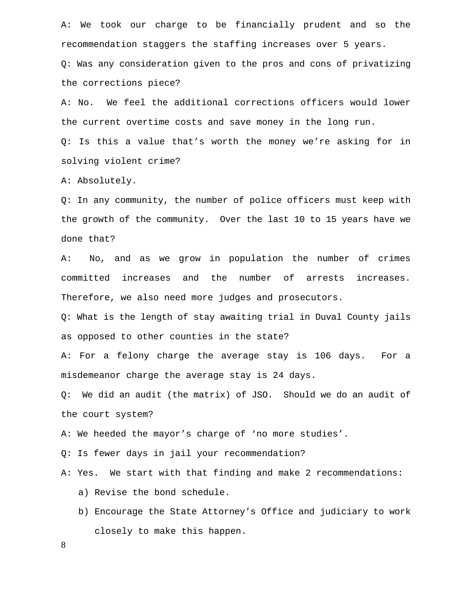A: We took our charge to be financially prudent and so the recommendation staggers the staffing increases over 5 years.

Q: Was any consideration given to the pros and cons of privatizing the corrections piece?

A: No. We feel the additional corrections officers would lower the current overtime costs and save money in the long run. Q: Is this a value that's worth the money we're asking for in

solving violent crime?

A: Absolutely.

Q: In any community, the number of police officers must keep with the growth of the community. Over the last 10 to 15 years have we done that?

A: No, and as we grow in population the number of crimes committed increases and the number of arrests increases. Therefore, we also need more judges and prosecutors.

Q: What is the length of stay awaiting trial in Duval County jails as opposed to other counties in the state?

A: For a felony charge the average stay is 106 days. For a misdemeanor charge the average stay is 24 days.

Q: We did an audit (the matrix) of JSO. Should we do an audit of the court system?

A: We heeded the mayor's charge of 'no more studies'.

Q: Is fewer days in jail your recommendation?

A: Yes. We start with that finding and make 2 recommendations:

a) Revise the bond schedule.

b) Encourage the State Attorney's Office and judiciary to work closely to make this happen.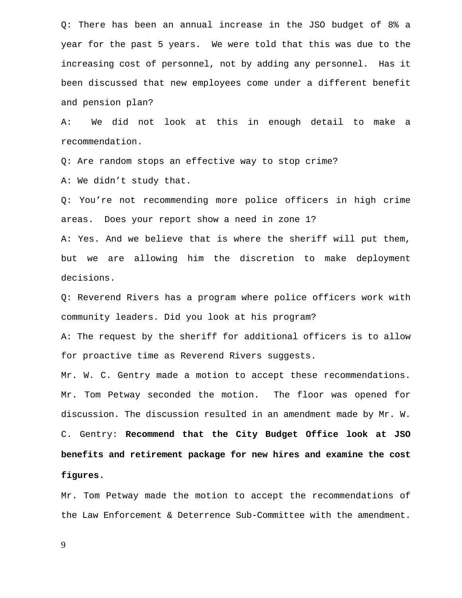Q: There has been an annual increase in the JSO budget of 8% a year for the past 5 years. We were told that this was due to the increasing cost of personnel, not by adding any personnel. Has it been discussed that new employees come under a different benefit and pension plan?

A: We did not look at this in enough detail to make a recommendation.

Q: Are random stops an effective way to stop crime?

A: We didn't study that.

Q: You're not recommending more police officers in high crime areas. Does your report show a need in zone 1?

A: Yes. And we believe that is where the sheriff will put them, but we are allowing him the discretion to make deployment decisions.

Q: Reverend Rivers has a program where police officers work with community leaders. Did you look at his program?

A: The request by the sheriff for additional officers is to allow for proactive time as Reverend Rivers suggests.

Mr. W. C. Gentry made a motion to accept these recommendations. Mr. Tom Petway seconded the motion. The floor was opened for discussion. The discussion resulted in an amendment made by Mr. W. C. Gentry: **Recommend that the City Budget Office look at JSO benefits and retirement package for new hires and examine the cost figures.** 

Mr. Tom Petway made the motion to accept the recommendations of the Law Enforcement & Deterrence Sub-Committee with the amendment.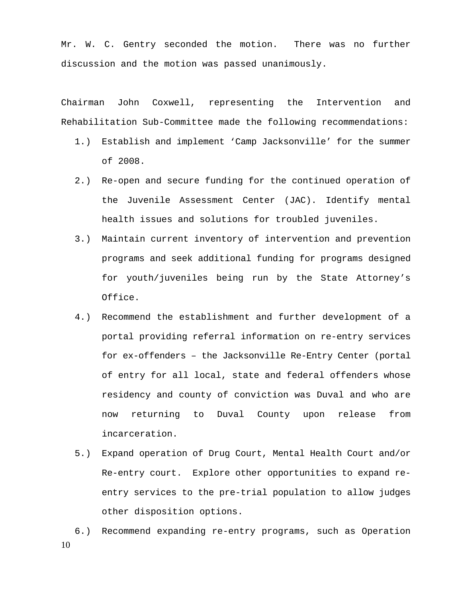Mr. W. C. Gentry seconded the motion. There was no further discussion and the motion was passed unanimously.

Chairman John Coxwell, representing the Intervention and Rehabilitation Sub-Committee made the following recommendations:

- 1.) Establish and implement 'Camp Jacksonville' for the summer of 2008.
- 2.) Re-open and secure funding for the continued operation of the Juvenile Assessment Center (JAC). Identify mental health issues and solutions for troubled juveniles.
- 3.) Maintain current inventory of intervention and prevention programs and seek additional funding for programs designed for youth/juveniles being run by the State Attorney's Office.
- 4.) Recommend the establishment and further development of a portal providing referral information on re-entry services for ex-offenders – the Jacksonville Re-Entry Center (portal of entry for all local, state and federal offenders whose residency and county of conviction was Duval and who are now returning to Duval County upon release from incarceration.
- 5.) Expand operation of Drug Court, Mental Health Court and/or Re-entry court. Explore other opportunities to expand reentry services to the pre-trial population to allow judges other disposition options.
- 10 6.) Recommend expanding re-entry programs, such as Operation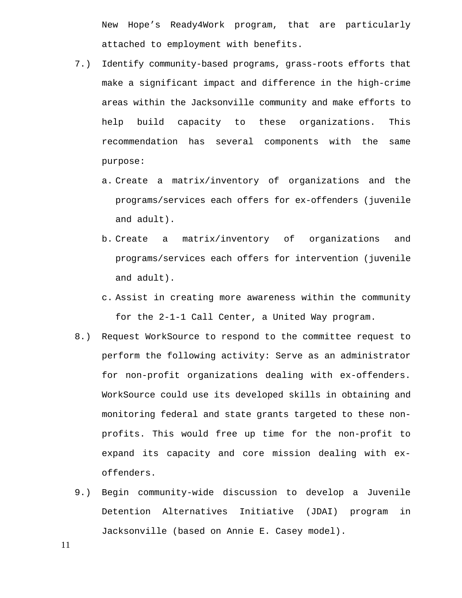New Hope's Ready4Work program, that are particularly attached to employment with benefits.

- 7.) Identify community-based programs, grass-roots efforts that make a significant impact and difference in the high-crime areas within the Jacksonville community and make efforts to help build capacity to these organizations. This recommendation has several components with the same purpose:
	- a. Create a matrix/inventory of organizations and the programs/services each offers for ex-offenders (juvenile and adult).
	- b. Create a matrix/inventory of organizations and programs/services each offers for intervention (juvenile and adult).
	- c. Assist in creating more awareness within the community for the 2-1-1 Call Center, a United Way program.
- 8.) Request WorkSource to respond to the committee request to perform the following activity: Serve as an administrator for non-profit organizations dealing with ex-offenders. WorkSource could use its developed skills in obtaining and monitoring federal and state grants targeted to these nonprofits. This would free up time for the non-profit to expand its capacity and core mission dealing with exoffenders.
- 9.) Begin community-wide discussion to develop a Juvenile Detention Alternatives Initiative (JDAI) program in Jacksonville (based on Annie E. Casey model).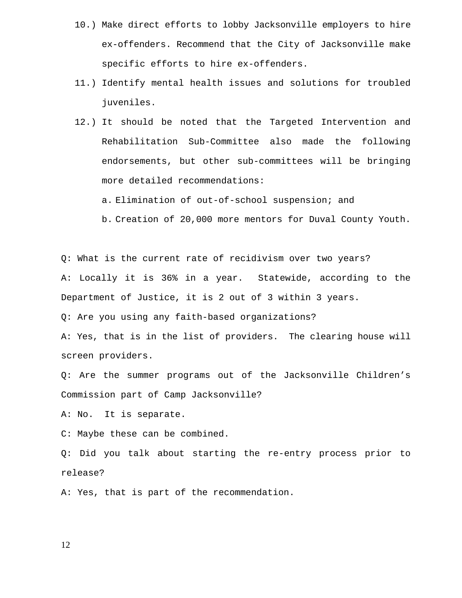- 10.) Make direct efforts to lobby Jacksonville employers to hire ex-offenders. Recommend that the City of Jacksonville make specific efforts to hire ex-offenders.
- 11.) Identify mental health issues and solutions for troubled juveniles.
- 12.) It should be noted that the Targeted Intervention and Rehabilitation Sub-Committee also made the following endorsements, but other sub-committees will be bringing more detailed recommendations:

a. Elimination of out-of-school suspension; and

b. Creation of 20,000 more mentors for Duval County Youth.

Q: What is the current rate of recidivism over two years? A: Locally it is 36% in a year. Statewide, according to the Department of Justice, it is 2 out of 3 within 3 years.

Q: Are you using any faith-based organizations?

A: Yes, that is in the list of providers. The clearing house will screen providers.

Q: Are the summer programs out of the Jacksonville Children's Commission part of Camp Jacksonville?

A: No. It is separate.

C: Maybe these can be combined.

Q: Did you talk about starting the re-entry process prior to release?

A: Yes, that is part of the recommendation.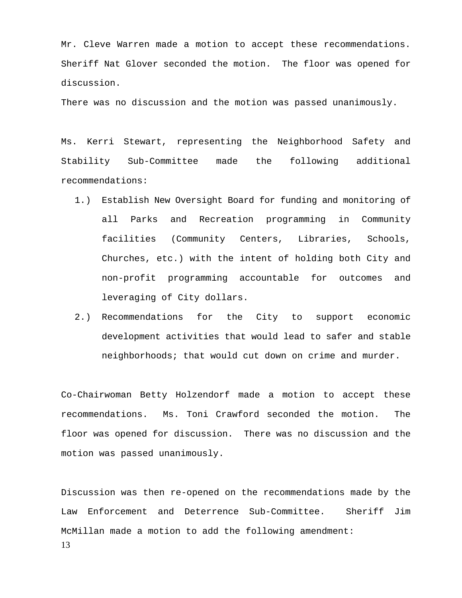Mr. Cleve Warren made a motion to accept these recommendations. Sheriff Nat Glover seconded the motion. The floor was opened for discussion.

There was no discussion and the motion was passed unanimously.

Ms. Kerri Stewart, representing the Neighborhood Safety and Stability Sub-Committee made the following additional recommendations:

- 1.) Establish New Oversight Board for funding and monitoring of all Parks and Recreation programming in Community facilities (Community Centers, Libraries, Schools, Churches, etc.) with the intent of holding both City and non-profit programming accountable for outcomes and leveraging of City dollars.
- 2.) Recommendations for the City to support economic development activities that would lead to safer and stable neighborhoods; that would cut down on crime and murder.

Co-Chairwoman Betty Holzendorf made a motion to accept these recommendations. Ms. Toni Crawford seconded the motion. The floor was opened for discussion. There was no discussion and the motion was passed unanimously.

13 Discussion was then re-opened on the recommendations made by the Law Enforcement and Deterrence Sub-Committee. Sheriff Jim McMillan made a motion to add the following amendment: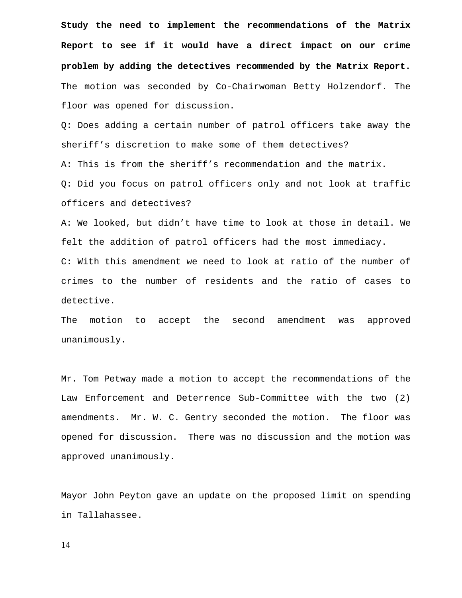**Study the need to implement the recommendations of the Matrix Report to see if it would have a direct impact on our crime problem by adding the detectives recommended by the Matrix Report.**  The motion was seconded by Co-Chairwoman Betty Holzendorf. The floor was opened for discussion.

Q: Does adding a certain number of patrol officers take away the sheriff's discretion to make some of them detectives?

A: This is from the sheriff's recommendation and the matrix.

Q: Did you focus on patrol officers only and not look at traffic officers and detectives?

A: We looked, but didn't have time to look at those in detail. We felt the addition of patrol officers had the most immediacy. C: With this amendment we need to look at ratio of the number of crimes to the number of residents and the ratio of cases to detective.

The motion to accept the second amendment was approved unanimously.

Mr. Tom Petway made a motion to accept the recommendations of the Law Enforcement and Deterrence Sub-Committee with the two (2) amendments. Mr. W. C. Gentry seconded the motion. The floor was opened for discussion. There was no discussion and the motion was approved unanimously.

Mayor John Peyton gave an update on the proposed limit on spending in Tallahassee.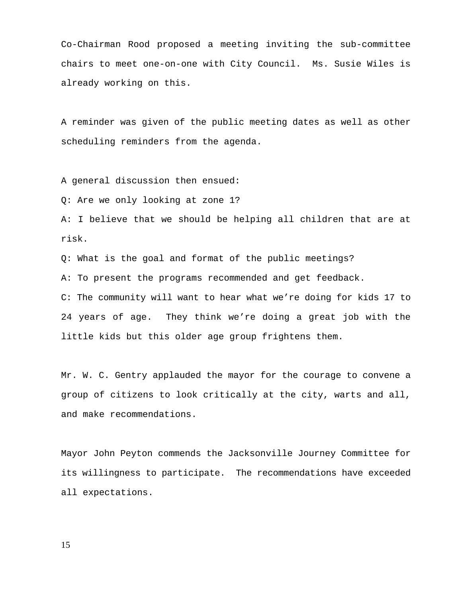Co-Chairman Rood proposed a meeting inviting the sub-committee chairs to meet one-on-one with City Council. Ms. Susie Wiles is already working on this.

A reminder was given of the public meeting dates as well as other scheduling reminders from the agenda.

A general discussion then ensued:

Q: Are we only looking at zone 1?

A: I believe that we should be helping all children that are at risk.

Q: What is the goal and format of the public meetings?

A: To present the programs recommended and get feedback.

C: The community will want to hear what we're doing for kids 17 to 24 years of age. They think we're doing a great job with the little kids but this older age group frightens them.

Mr. W. C. Gentry applauded the mayor for the courage to convene a group of citizens to look critically at the city, warts and all, and make recommendations.

Mayor John Peyton commends the Jacksonville Journey Committee for its willingness to participate. The recommendations have exceeded all expectations.